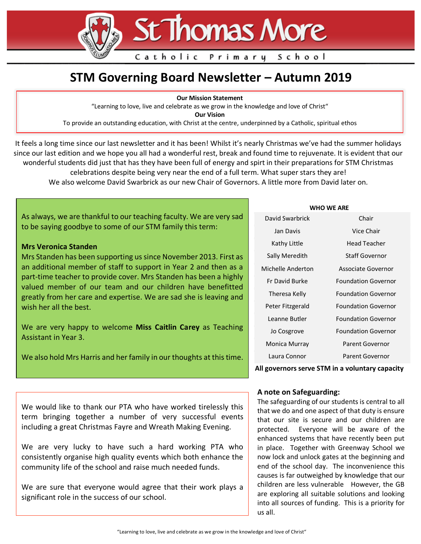# **St Thomas More**

Primary

School

# **STM Governing Board Newsletter – Autumn 2019**

Catholic

**Our Mission Statement**

"Learning to love, live and celebrate as we grow in the knowledge and love of Christ"

**Our Vision**

To provide an outstanding education, with Christ at the centre, underpinned by a Catholic, spiritual ethos

It feels a long time since our last newsletter and it has been! Whilst it's nearly Christmas we've had the summer holidays since our last edition and we hope you all had a wonderful rest, break and found time to rejuvenate. It is evident that our wonderful students did just that has they have been full of energy and spirt in their preparations for STM Christmas celebrations despite being very near the end of a full term. What super stars they are! We also welcome David Swarbrick as our new Chair of Governors. A little more from David later on.

As always, we are thankful to our teaching faculty. We are very sad to be saying goodbye to some of our STM family this term:

## **Mrs Veronica Standen**

 an additional member of staff to support in Year 2 and then as a Mrs Standen has been supporting us since November 2013. First as part-time teacher to provide cover. Mrs Standen has been a highly valued member of our team and our children have benefitted greatly from her care and expertise. We are sad she is leaving and wish her all the best.

We are very happy to welcome **Miss Caitlin Carey** as Teaching Assistant in Year 3.

We also hold Mrs Harris and her family in our thoughts at this time.

| WHO WF ARF        |                            |
|-------------------|----------------------------|
| David Swarbrick   | Chair                      |
| Jan Davis         | Vice Chair                 |
| Kathy Little      | Head Teacher               |
| Sally Meredith    | Staff Governor             |
| Michelle Anderton | Associate Governor         |
| Fr David Burke    | <b>Foundation Governor</b> |
| Theresa Kelly     | <b>Foundation Governor</b> |
| Peter Fitzgerald  | <b>Foundation Governor</b> |
| Leanne Butler     | <b>Foundation Governor</b> |
| Jo Cosgrove       | <b>Foundation Governor</b> |
| Monica Murray     | Parent Governor            |
| Laura Connor      | Parent Governor            |
|                   |                            |

**All governors serve STM in a voluntary capacity**

### **A note on Safeguarding:**

The safeguarding of our students is central to all that we do and one aspect of that duty is ensure that our site is secure and our children are protected. Everyone will be aware of the enhanced systems that have recently been put in place. Together with Greenway School we now lock and unlock gates at the beginning and end of the school day. The inconvenience this causes is far outweighed by knowledge that our children are less vulnerable However, the GB are exploring all suitable solutions and looking into all sources of funding. This is a priority for us all.

We would like to thank our PTA who have worked tirelessly this term bringing together a number of very successful events including a great Christmas Fayre and Wreath Making Evening.

We are very lucky to have such a hard working PTA who consistently organise high quality events which both enhance the community life of the school and raise much needed funds.

We are sure that everyone would agree that their work plays a significant role in the success of our school.